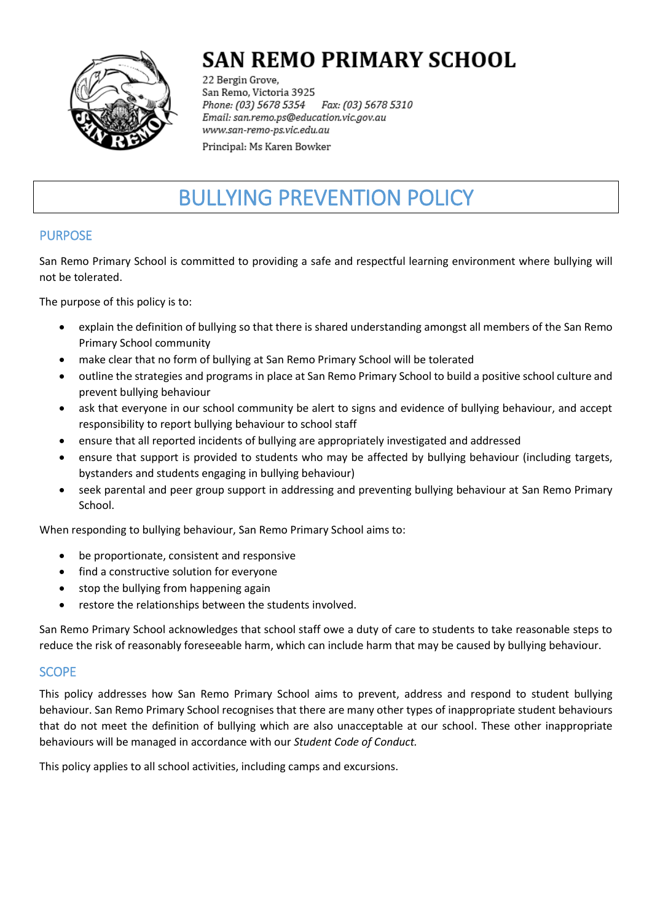

# **SAN REMO PRIMARY SCHOOL**

22 Bergin Grove, San Remo, Victoria 3925 Fax: (03) 5678 5310 Phone: (03) 5678 5354 Email: san.remo.ps@education.vic.gov.au www.san-remo-ps.vic.edu.au

Principal: Ms Karen Bowker

# BULLYING PREVENTION POLICY

# PURPOSE

San Remo Primary School is committed to providing a safe and respectful learning environment where bullying will not be tolerated.

The purpose of this policy is to:

- explain the definition of bullying so that there is shared understanding amongst all members of the San Remo Primary School community
- make clear that no form of bullying at San Remo Primary School will be tolerated
- outline the strategies and programs in place at San Remo Primary School to build a positive school culture and prevent bullying behaviour
- ask that everyone in our school community be alert to signs and evidence of bullying behaviour, and accept responsibility to report bullying behaviour to school staff
- ensure that all reported incidents of bullying are appropriately investigated and addressed
- ensure that support is provided to students who may be affected by bullying behaviour (including targets, bystanders and students engaging in bullying behaviour)
- seek parental and peer group support in addressing and preventing bullying behaviour at San Remo Primary School.

When responding to bullying behaviour, San Remo Primary School aims to:

- be proportionate, consistent and responsive
- find a constructive solution for everyone
- stop the bullying from happening again
- restore the relationships between the students involved.

San Remo Primary School acknowledges that school staff owe a duty of care to students to take reasonable steps to reduce the risk of reasonably foreseeable harm, which can include harm that may be caused by bullying behaviour.

### SCOPE

This policy addresses how San Remo Primary School aims to prevent, address and respond to student bullying behaviour. San Remo Primary School recognises that there are many other types of inappropriate student behaviours that do not meet the definition of bullying which are also unacceptable at our school. These other inappropriate behaviours will be managed in accordance with our *Student Code of Conduct.*

This policy applies to all school activities, including camps and excursions.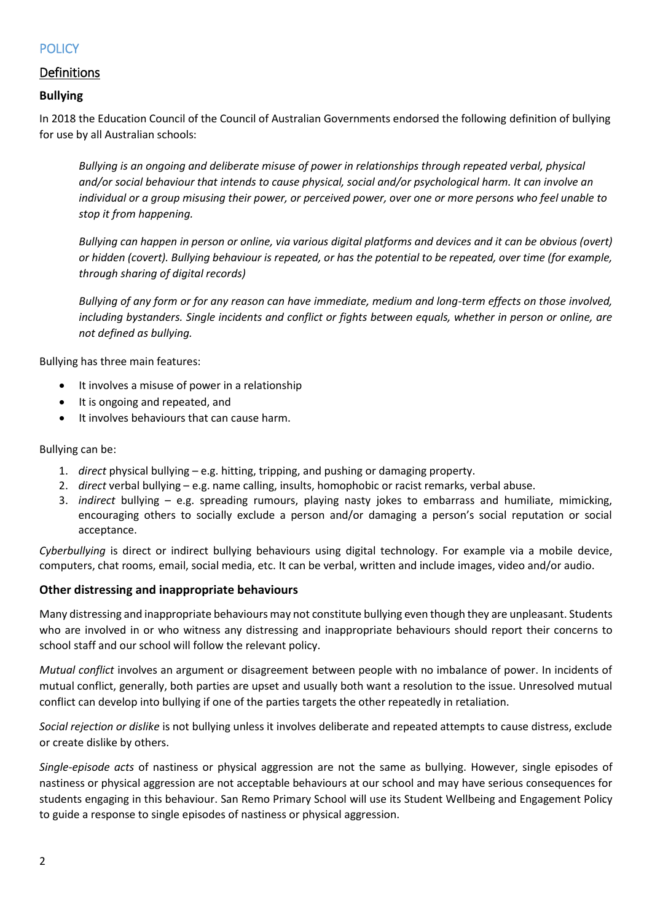## **POLICY**

### Definitions

#### **Bullying**

In 2018 the Education Council of the Council of Australian Governments endorsed the following definition of bullying for use by all Australian schools:

*Bullying is an ongoing and deliberate misuse of power in relationships through repeated verbal, physical and/or social behaviour that intends to cause physical, social and/or psychological harm. It can involve an individual or a group misusing their power, or perceived power, over one or more persons who feel unable to stop it from happening.*

*Bullying can happen in person or online, via various digital platforms and devices and it can be obvious (overt) or hidden (covert). Bullying behaviour is repeated, or has the potential to be repeated, over time (for example, through sharing of digital records)*

*Bullying of any form or for any reason can have immediate, medium and long-term effects on those involved, including bystanders. Single incidents and conflict or fights between equals, whether in person or online, are not defined as bullying.*

Bullying has three main features:

- It involves a misuse of power in a relationship
- It is ongoing and repeated, and
- It involves behaviours that can cause harm.

Bullying can be:

- 1. *direct* physical bullying e.g. hitting, tripping, and pushing or damaging property.
- 2. *direct* verbal bullying e.g. name calling, insults, homophobic or racist remarks, verbal abuse.
- 3. *indirect* bullying e.g. spreading rumours, playing nasty jokes to embarrass and humiliate, mimicking, encouraging others to socially exclude a person and/or damaging a person's social reputation or social acceptance.

*Cyberbullying* is direct or indirect bullying behaviours using digital technology. For example via a mobile device, computers, chat rooms, email, social media, etc. It can be verbal, written and include images, video and/or audio.

#### **Other distressing and inappropriate behaviours**

Many distressing and inappropriate behaviours may not constitute bullying even though they are unpleasant. Students who are involved in or who witness any distressing and inappropriate behaviours should report their concerns to school staff and our school will follow the relevant policy.

*Mutual conflict* involves an argument or disagreement between people with no imbalance of power. In incidents of mutual conflict, generally, both parties are upset and usually both want a resolution to the issue. Unresolved mutual conflict can develop into bullying if one of the parties targets the other repeatedly in retaliation.

*Social rejection or dislike* is not bullying unless it involves deliberate and repeated attempts to cause distress, exclude or create dislike by others.

*Single-episode acts* of nastiness or physical aggression are not the same as bullying. However, single episodes of nastiness or physical aggression are not acceptable behaviours at our school and may have serious consequences for students engaging in this behaviour. San Remo Primary School will use its Student Wellbeing and Engagement Policy to guide a response to single episodes of nastiness or physical aggression.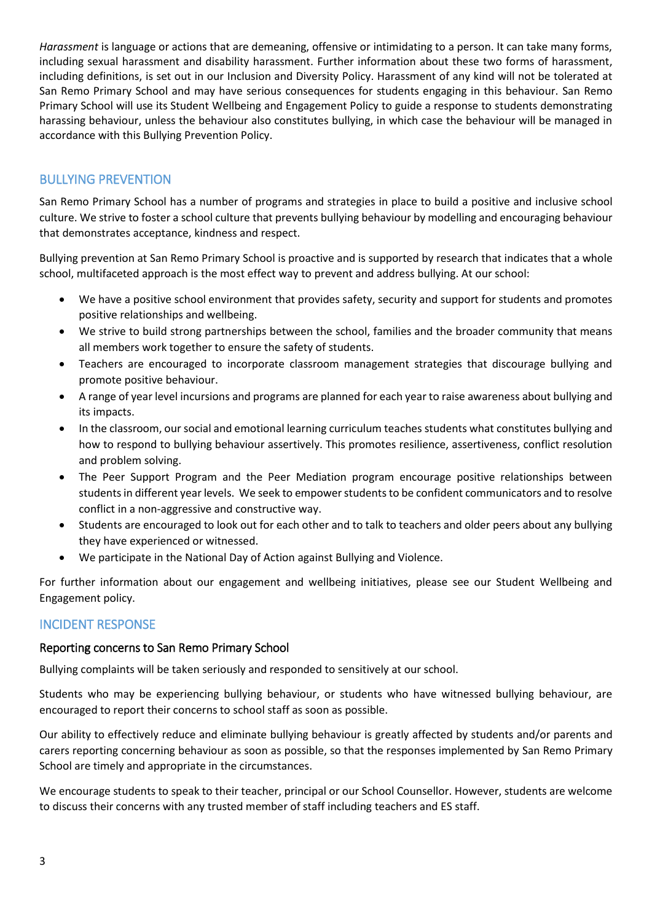*Harassment* is language or actions that are demeaning, offensive or intimidating to a person. It can take many forms, including sexual harassment and disability harassment. Further information about these two forms of harassment, including definitions, is set out in our Inclusion and Diversity Policy. Harassment of any kind will not be tolerated at San Remo Primary School and may have serious consequences for students engaging in this behaviour. San Remo Primary School will use its Student Wellbeing and Engagement Policy to guide a response to students demonstrating harassing behaviour, unless the behaviour also constitutes bullying, in which case the behaviour will be managed in accordance with this Bullying Prevention Policy.

## BULLYING PREVENTION

San Remo Primary School has a number of programs and strategies in place to build a positive and inclusive school culture. We strive to foster a school culture that prevents bullying behaviour by modelling and encouraging behaviour that demonstrates acceptance, kindness and respect.

Bullying prevention at San Remo Primary School is proactive and is supported by research that indicates that a whole school, multifaceted approach is the most effect way to prevent and address bullying. At our school:

- We have a positive school environment that provides safety, security and support for students and promotes positive relationships and wellbeing.
- We strive to build strong partnerships between the school, families and the broader community that means all members work together to ensure the safety of students.
- Teachers are encouraged to incorporate classroom management strategies that discourage bullying and promote positive behaviour.
- A range of year level incursions and programs are planned for each year to raise awareness about bullying and its impacts.
- In the classroom, oursocial and emotional learning curriculum teaches students what constitutes bullying and how to respond to bullying behaviour assertively. This promotes resilience, assertiveness, conflict resolution and problem solving.
- The Peer Support Program and the Peer Mediation program encourage positive relationships between students in different year levels. We seek to empower students to be confident communicators and to resolve conflict in a non-aggressive and constructive way.
- Students are encouraged to look out for each other and to talk to teachers and older peers about any bullying they have experienced or witnessed.
- We participate in the National Day of Action against Bullying and Violence.

For further information about our engagement and wellbeing initiatives, please see our Student Wellbeing and Engagement policy.

### INCIDENT RESPONSE

#### Reporting concerns to San Remo Primary School

Bullying complaints will be taken seriously and responded to sensitively at our school.

Students who may be experiencing bullying behaviour, or students who have witnessed bullying behaviour, are encouraged to report their concerns to school staff as soon as possible.

Our ability to effectively reduce and eliminate bullying behaviour is greatly affected by students and/or parents and carers reporting concerning behaviour as soon as possible, so that the responses implemented by San Remo Primary School are timely and appropriate in the circumstances.

We encourage students to speak to their teacher, principal or our School Counsellor. However, students are welcome to discuss their concerns with any trusted member of staff including teachers and ES staff.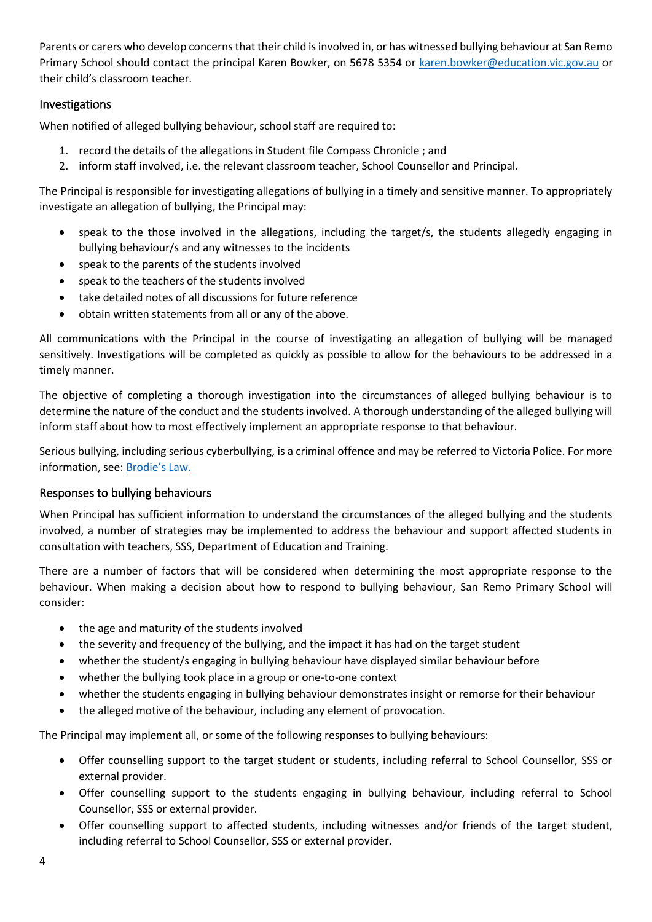Parents or carers who develop concerns that their child is involved in, or has witnessed bullying behaviour at San Remo Primary School should contact the principal Karen Bowker, on 5678 5354 or [karen.bowker@education.vic.gov.au](mailto:karen.bowker@education.vic.gov.au) or their child's classroom teacher.

### Investigations

When notified of alleged bullying behaviour, school staff are required to:

- 1. record the details of the allegations in Student file Compass Chronicle ; and
- 2. inform staff involved, i.e. the relevant classroom teacher, School Counsellor and Principal.

The Principal is responsible for investigating allegations of bullying in a timely and sensitive manner. To appropriately investigate an allegation of bullying, the Principal may:

- speak to the those involved in the allegations, including the target/s, the students allegedly engaging in bullying behaviour/s and any witnesses to the incidents
- speak to the parents of the students involved
- speak to the teachers of the students involved
- take detailed notes of all discussions for future reference
- obtain written statements from all or any of the above.

All communications with the Principal in the course of investigating an allegation of bullying will be managed sensitively. Investigations will be completed as quickly as possible to allow for the behaviours to be addressed in a timely manner.

The objective of completing a thorough investigation into the circumstances of alleged bullying behaviour is to determine the nature of the conduct and the students involved. A thorough understanding of the alleged bullying will inform staff about how to most effectively implement an appropriate response to that behaviour.

Serious bullying, including serious cyberbullying, is a criminal offence and may be referred to Victoria Police. For more information, see: [Brodie's Law.](http://www.education.vic.gov.au/about/programs/bullystoppers/Pages/advicesheetbrodieslaw.aspx)

#### Responses to bullying behaviours

When Principal has sufficient information to understand the circumstances of the alleged bullying and the students involved, a number of strategies may be implemented to address the behaviour and support affected students in consultation with teachers, SSS, Department of Education and Training.

There are a number of factors that will be considered when determining the most appropriate response to the behaviour. When making a decision about how to respond to bullying behaviour, San Remo Primary School will consider:

- the age and maturity of the students involved
- the severity and frequency of the bullying, and the impact it has had on the target student
- whether the student/s engaging in bullying behaviour have displayed similar behaviour before
- whether the bullying took place in a group or one-to-one context
- whether the students engaging in bullying behaviour demonstrates insight or remorse for their behaviour
- the alleged motive of the behaviour, including any element of provocation.

The Principal may implement all, or some of the following responses to bullying behaviours:

- Offer counselling support to the target student or students, including referral to School Counsellor, SSS or external provider.
- Offer counselling support to the students engaging in bullying behaviour, including referral to School Counsellor, SSS or external provider.
- Offer counselling support to affected students, including witnesses and/or friends of the target student, including referral to School Counsellor, SSS or external provider.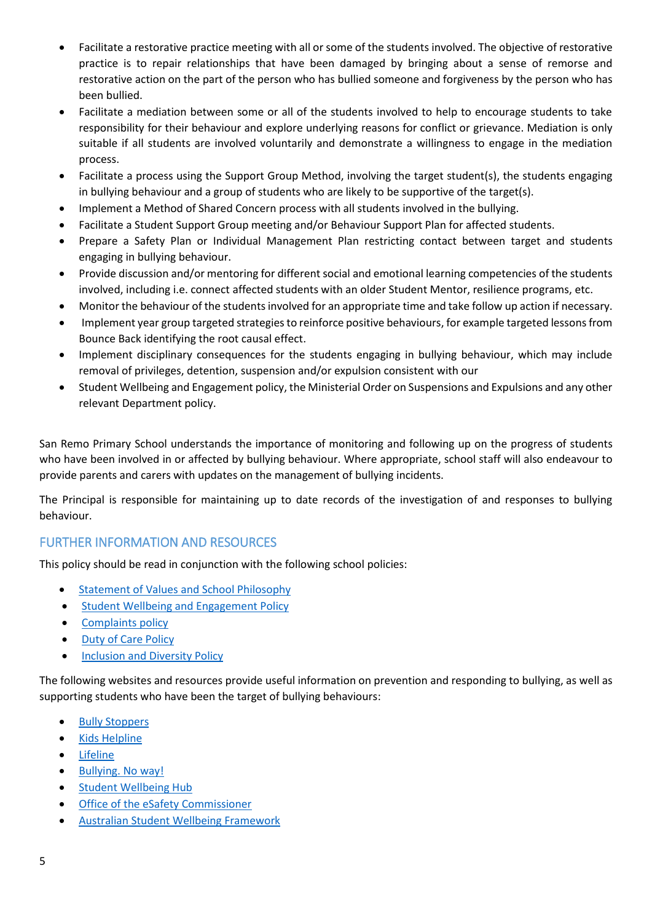- Facilitate a restorative practice meeting with all or some of the students involved. The objective of restorative practice is to repair relationships that have been damaged by bringing about a sense of remorse and restorative action on the part of the person who has bullied someone and forgiveness by the person who has been bullied.
- Facilitate a mediation between some or all of the students involved to help to encourage students to take responsibility for their behaviour and explore underlying reasons for conflict or grievance. Mediation is only suitable if all students are involved voluntarily and demonstrate a willingness to engage in the mediation process.
- Facilitate a process using the Support Group Method, involving the target student(s), the students engaging in bullying behaviour and a group of students who are likely to be supportive of the target(s).
- Implement a Method of Shared Concern process with all students involved in the bullying.
- Facilitate a Student Support Group meeting and/or Behaviour Support Plan for affected students.
- Prepare a Safety Plan or Individual Management Plan restricting contact between target and students engaging in bullying behaviour.
- Provide discussion and/or mentoring for different social and emotional learning competencies of the students involved, including i.e. connect affected students with an older Student Mentor, resilience programs, etc.
- Monitor the behaviour of the students involved for an appropriate time and take follow up action if necessary.
- Implement year group targeted strategies to reinforce positive behaviours, for example targeted lessons from Bounce Back identifying the root causal effect.
- Implement disciplinary consequences for the students engaging in bullying behaviour, which may include removal of privileges, detention, suspension and/or expulsion consistent with our
- Student Wellbeing and Engagement policy, the Ministerial Order on Suspensions and Expulsions and any other relevant Department policy.

San Remo Primary School understands the importance of monitoring and following up on the progress of students who have been involved in or affected by bullying behaviour. Where appropriate, school staff will also endeavour to provide parents and carers with updates on the management of bullying incidents.

The Principal is responsible for maintaining up to date records of the investigation of and responses to bullying behaviour.

## FURTHER INFORMATION AND RESOURCES

This policy should be read in conjunction with the following school policies:

- **•** Statement of Values [and School Philosophy](Statement%20of%20Values%20and%20School%20Philosophy.pdf)
- **•** [Student Wellbeing and Engagement Policy](Student%20Wellbeing%20and%20Engagement%20Policy.pdf)
- [Complaints policy](Complaints%20Policy.pdf)
- [Duty of Care Policy](Duty%20of%20Care%20Policy.pdf)
- **•** [Inclusion and Diversity Policy](Inclusion%20and%20Diversity%20Policy.pdf)

The following websites and resources provide useful information on prevention and responding to bullying, as well as supporting students who have been the target of bullying behaviours:

- [Bully Stoppers](https://bullyingnoway.gov.au/PreventingBullying/Planning/Pages/School-policy.aspx)
- Kids [Helpline](https://kidshelpline.com.au/)
- [Lifeline](https://www.lifeline.org.au/)
- [Bullying. No way!](https://bullyingnoway.gov.au/PreventingBullying/Planning/Pages/School-policy.aspx)
- **•** [Student Wellbeing Hub](https://www.studentwellbeinghub.edu.au/)
- [Office of the eSafety Commissioner](https://www.esafety.gov.au/)
- [Australian Student Wellbeing Framework](https://www.studentwellbeinghub.edu.au/resources/detail?id=dd6b5222-d5c5-6d32-997d-ff0000a69c30#/)